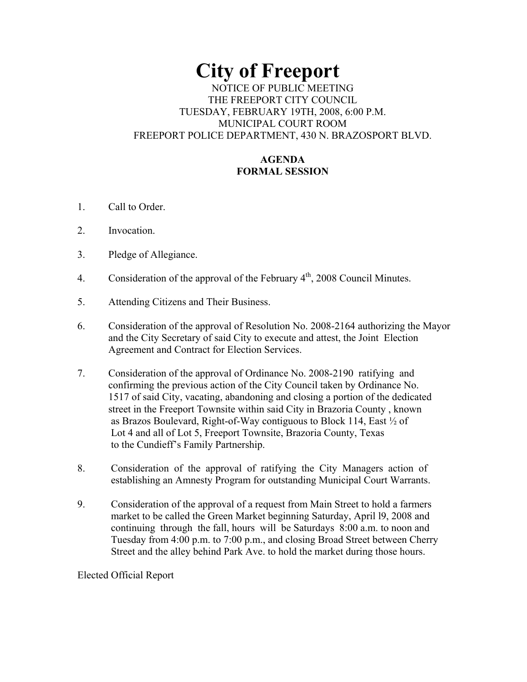# **City of Freeport**

### NOTICE OF PUBLIC MEETING THE FREEPORT CITY COUNCIL TUESDAY, FEBRUARY 19TH, 2008, 6:00 P.M. MUNICIPAL COURT ROOM FREEPORT POLICE DEPARTMENT, 430 N. BRAZOSPORT BLVD.

## **AGENDA FORMAL SESSION**

- 1. Call to Order.
- 2. Invocation.
- 3. Pledge of Allegiance.
- 4. Consideration of the approval of the February  $4<sup>th</sup>$ , 2008 Council Minutes.
- 5. Attending Citizens and Their Business.
- 6. Consideration of the approval of Resolution No. 2008-2164 authorizing the Mayor and the City Secretary of said City to execute and attest, the Joint Election Agreement and Contract for Election Services.
- 7. Consideration of the approval of Ordinance No. 2008-2190 ratifying and confirming the previous action of the City Council taken by Ordinance No. 1517 of said City, vacating, abandoning and closing a portion of the dedicated street in the Freeport Townsite within said City in Brazoria County , known as Brazos Boulevard, Right-of-Way contiguous to Block 114, East ½ of Lot 4 and all of Lot 5, Freeport Townsite, Brazoria County, Texas to the Cundieff's Family Partnership.
- 8. Consideration of the approval of ratifying the City Managers action of establishing an Amnesty Program for outstanding Municipal Court Warrants.
- 9. Consideration of the approval of a request from Main Street to hold a farmers market to be called the Green Market beginning Saturday, April l9, 2008 and continuing through the fall, hours will be Saturdays 8:00 a.m. to noon and Tuesday from 4:00 p.m. to 7:00 p.m., and closing Broad Street between Cherry Street and the alley behind Park Ave. to hold the market during those hours.

Elected Official Report